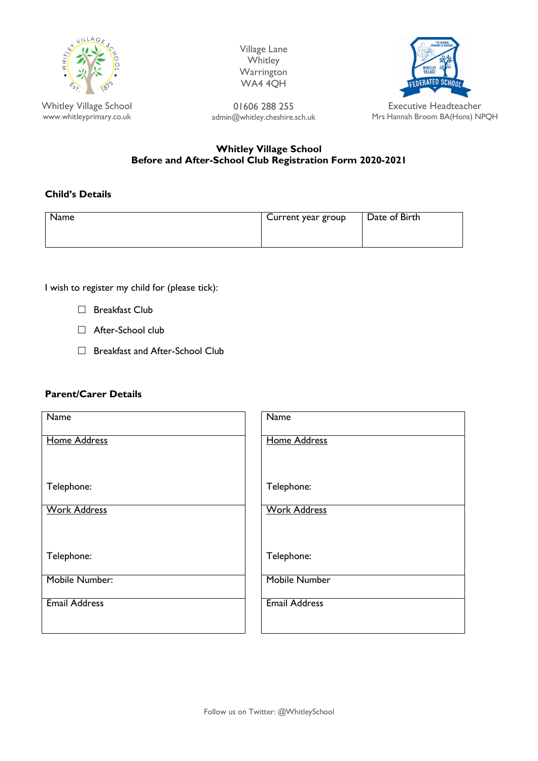

Whitley Village School www.whitleyprimary.co.uk Village Lane **Whitley Warrington** WA4 4QH



01606 288 255 admin@whitley.cheshire.sch.uk

Mrs Hannah Broom BA(Hons) NPQH

# **Whitley Village School Before and After-School Club Registration Form 2020-2021**

## **Child's Details**

| Name | Current year group | Date of Birth |
|------|--------------------|---------------|
|      |                    |               |

I wish to register my child for (please tick):

- □ Breakfast Club
- □ After-School club
- □ Breakfast and After-School Club

#### **Parent/Carer Details**

| <b>Name</b>          | <b>Name</b>          |
|----------------------|----------------------|
| <b>Home Address</b>  | <b>Home Address</b>  |
| Telephone:           | Telephone:           |
|                      |                      |
| <b>Work Address</b>  | <b>Work Address</b>  |
|                      |                      |
| Telephone:           | Telephone:           |
| Mobile Number:       | Mobile Number        |
| <b>Email Address</b> | <b>Email Address</b> |
|                      |                      |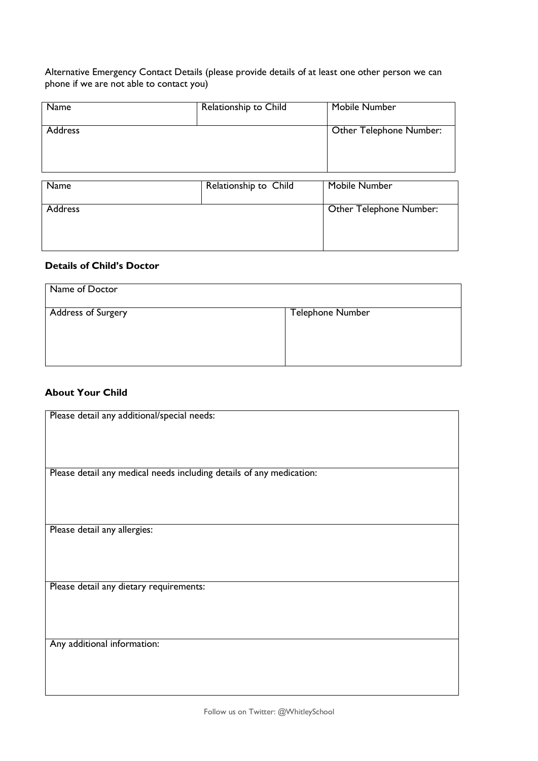Alternative Emergency Contact Details (please provide details of at least one other person we can phone if we are not able to contact you)

| Name           | Relationship to Child | Mobile Number           |
|----------------|-----------------------|-------------------------|
| <b>Address</b> |                       | Other Telephone Number: |
| Name           | Relationship to Child | Mobile Number           |

| Name           | Relationship to Child | Mobile Number           |
|----------------|-----------------------|-------------------------|
| <b>Address</b> |                       | Other Telephone Number: |

## **Details of Child's Doctor**

| Name of Doctor            |                         |
|---------------------------|-------------------------|
| <b>Address of Surgery</b> | <b>Telephone Number</b> |
|                           |                         |

# **About Your Child**

| Please detail any additional/special needs:                          |
|----------------------------------------------------------------------|
|                                                                      |
|                                                                      |
|                                                                      |
|                                                                      |
|                                                                      |
|                                                                      |
| Please detail any medical needs including details of any medication: |
|                                                                      |
|                                                                      |
|                                                                      |
|                                                                      |
|                                                                      |
|                                                                      |
|                                                                      |
| Please detail any allergies:                                         |
|                                                                      |
|                                                                      |
|                                                                      |
|                                                                      |
|                                                                      |
|                                                                      |
| Please detail any dietary requirements:                              |
|                                                                      |
|                                                                      |
|                                                                      |
|                                                                      |
|                                                                      |
|                                                                      |
|                                                                      |
| Any additional information:                                          |
|                                                                      |
|                                                                      |
|                                                                      |
|                                                                      |
|                                                                      |
|                                                                      |
|                                                                      |